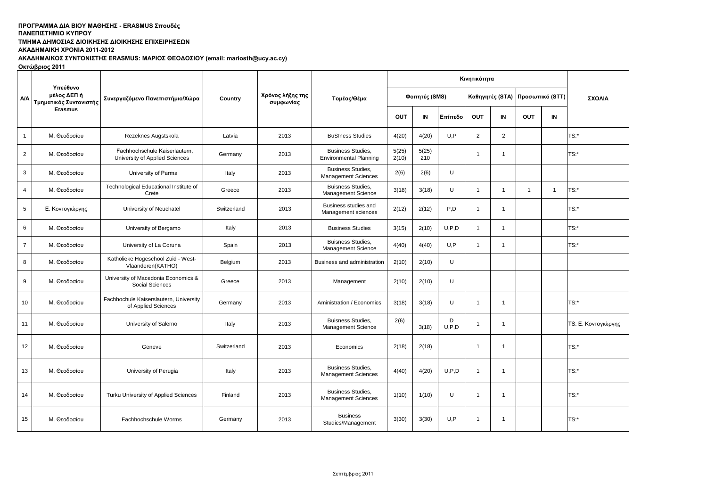# ΠΡΟΓΡΑΜΜΑ ΔΙΑ ΒΙΟΥ ΜΑΘΗΣΗΣ - ERASMUS Σπουδές

### **ΠΑΝΔΠΙΣΗΜΙΟ ΚΤΠΡΟΤ**

**ΤΜΗΜΑ ΔΗΜΟΣΙΑΣ ΔΙΟΙΚΗΣΗΣ ΔΙΟΙΚΗΣΗΣ ΕΠΙΧΕΙΡΗΣΕΩΝ** 

**ΑΚΑΔΗΜΑΙΚΗ ΧΡΟΝΙΑ 2011-2012** 

ΑΚΑΔΗΜΑΙΚΟΣ ΣΥΝΤΟΝΙΣΤΗΣ ERASMUS: ΜΑΡΙΟΣ ΘΕΟΔΟΣΙΟΥ (email: mariosth@ucy.ac.cy)

**Οκτώβριος 2011** 

|                |                                                   | Κινητικότητα                                                    |             |                               |                                                           |                |                |              |                |                |              |                                 |                     |
|----------------|---------------------------------------------------|-----------------------------------------------------------------|-------------|-------------------------------|-----------------------------------------------------------|----------------|----------------|--------------|----------------|----------------|--------------|---------------------------------|---------------------|
| <b>A/A</b>     | Υπεύθυνο<br>μέλος ΔΕΠ ή<br>Τμηματικός Συντονιστής | Συνεργαζόμενο Πανεπιστήμιο/Χώρα                                 | Country     | Χρόνος λήξης της<br>συμφωνίας | Τομέας/Θέμα                                               |                | Φοιτητές (SMS) |              |                |                |              | Καθηγητές (STA) Προσωπικό (STT) | ΣΧΟΛΙΑ              |
|                | <b>Erasmus</b>                                    |                                                                 |             |                               |                                                           | <b>OUT</b>     | IN             | Επίπεδο      | OUT            | IN             | <b>OUT</b>   | IN                              |                     |
| $\overline{1}$ | Μ. Θεοδοσίου                                      | Rezeknes Augstskola                                             | Latvia      | 2013                          | <b>BuSIness Studies</b>                                   | 4(20)          | 4(20)          | U,P          | 2              | $\overline{2}$ |              |                                 | TS:                 |
| $\overline{2}$ | Μ. Θεοδοσίου                                      | Fachhochschule Kaiserlautern.<br>University of Applied Sciences | Germany     | 2013                          | <b>Business Studies.</b><br><b>Environmental Planning</b> | 5(25)<br>2(10) | 5(25)<br>210   |              | $\mathbf{1}$   | $\mathbf{1}$   |              |                                 | TS:                 |
| $\mathbf{3}$   | Μ. Θεοδοσίου                                      | University of Parma                                             | Italy       | 2013                          | <b>Business Studies,</b><br><b>Management Sciences</b>    | 2(6)           | 2(6)           | U            |                |                |              |                                 |                     |
| 4              | Μ. Θεοδοσίου                                      | Technological Educational Institute of<br>Crete                 | Greece      | 2013                          | <b>Buisness Studies,</b><br><b>Management Science</b>     | 3(18)          | 3(18)          | U            | $\overline{1}$ | $\mathbf{1}$   | $\mathbf{1}$ | -1                              | TS:                 |
| 5              | Ε. Κοντογιώργης                                   | University of Neuchatel                                         | Switzerland | 2013                          | Business studies and<br>Management sciences               | 2(12)          | 2(12)          | P,D          | $\overline{1}$ | $\mathbf{1}$   |              |                                 | TS:                 |
| 6              | Μ. Θεοδοσίου                                      | University of Bergamo                                           | Italy       | 2013                          | <b>Business Studies</b>                                   | 3(15)          | 2(10)          | U.P.D        | $\overline{1}$ | 1              |              |                                 | TS:                 |
| $\overline{7}$ | Μ. Θεοδοσίου                                      | University of La Coruna                                         | Spain       | 2013                          | Buisness Studies,<br><b>Management Science</b>            | 4(40)          | 4(40)          | U,P          | $\mathbf{1}$   | $\overline{1}$ |              |                                 | TS:                 |
| 8              | Μ. Θεοδοσίου                                      | Katholieke Hogeschool Zuid - West-<br>Vlaanderen(KATHO)         | Belgium     | 2013                          | Business and administration                               | 2(10)          | 2(10)          | U            |                |                |              |                                 |                     |
| 9              | Μ. Θεοδοσίου                                      | University of Macedonia Economics &<br>Social Sciences          | Greece      | 2013                          | Management                                                | 2(10)          | 2(10)          | U            |                |                |              |                                 |                     |
| 10             | Μ. Θεοδοσίου                                      | Fachhochule Kaiserslautern, University<br>of Applied Sciences   | Germany     | 2013                          | Aministration / Economics                                 | 3(18)          | 3(18)          | U            | $\overline{1}$ | $\overline{1}$ |              |                                 | TS:                 |
| 11             | Μ. Θεοδοσίου                                      | University of Salerno                                           | Italy       | 2013                          | <b>Buisness Studies.</b><br><b>Management Science</b>     | 2(6)           | 3(18)          | D<br>U, P, D | $\mathbf{1}$   | $\mathbf{1}$   |              |                                 | TS: Ε. Κοντογιώργης |
| 12             | Μ. Θεοδοσίου                                      | Geneve                                                          | Switzerland | 2013                          | Economics                                                 | 2(18)          | 2(18)          |              | $\overline{1}$ | $\mathbf{1}$   |              |                                 | TS:                 |
| 13             | Μ. Θεοδοσίου                                      | University of Perugia                                           | Italy       | 2013                          | <b>Business Studies,</b><br><b>Management Sciences</b>    | 4(40)          | 4(20)          | U.P.D        | $\overline{1}$ | $\mathbf{1}$   |              |                                 | TS:                 |
| 14             | Μ. Θεοδοσίου                                      | Turku University of Applied Sciences                            | Finland     | 2013                          | <b>Business Studies,</b><br><b>Management Sciences</b>    | 1(10)          | 1(10)          | U            | $\overline{1}$ | $\mathbf{1}$   |              |                                 | $TS:$ *             |
| 15             | Μ. Θεοδοσίου                                      | Fachhochschule Worms                                            | Germany     | 2013                          | <b>Business</b><br>Studies/Management                     | 3(30)          | 3(30)          | U.P          | $\mathbf{1}$   | $\mathbf{1}$   |              |                                 | TS:                 |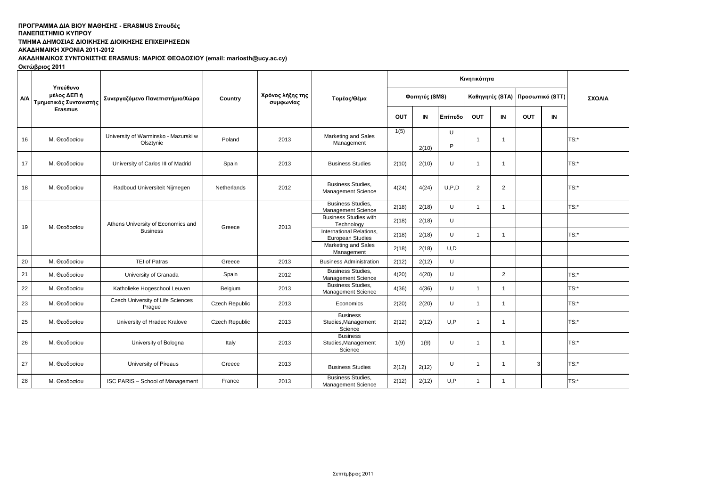## ΠΡΟΓΡΑΜΜΑ ΔΙΑ ΒΙΟΥ ΜΑΘΗΣΗΣ - ERASMUS Σπουδές

### **ΠΑΝΔΠΙΣΗΜΙΟ ΚΤΠΡΟΤ**

**ΤΜΗΜΑ ΔΗΜΟΣΙΑΣ ΔΙΟΙΚΗΣΗΣ ΔΙΟΙΚΗΣΗΣ ΕΠΙΧΕΙΡΗΣΕΩΝ** 

**ΑΚΑΔΗΜΑΙΚΗ ΧΡΟΝΙΑ 2011-2012** 

ΑΚΑΔΗΜΑΙΚΟΣ ΣΥΝΤΟΝΙΣΤΗΣ ERASMUS: ΜΑΡΙΟΣ ΘΕΟΔΟΣΙΟΥ (email: mariosth@ucy.ac.cy)

**Οκτώβριος 2011** 

|            |                                                   | Συνεργαζόμενο Πανεπιστήμιο/Χώρα                       |                | Χρόνος λήξης της<br>συμφωνίας | Τομέας/Θέμα                                           |                |       |         |                 |                |                 |    |         |
|------------|---------------------------------------------------|-------------------------------------------------------|----------------|-------------------------------|-------------------------------------------------------|----------------|-------|---------|-----------------|----------------|-----------------|----|---------|
| <b>A/A</b> | Υπεύθυνο<br>μέλος ΔΕΠ ή<br>Τμηματικός Συντονιστής |                                                       | Country        |                               |                                                       | Φοιτητές (SMS) |       |         | Καθηγητές (STA) |                | Προσωπικό (STT) |    | ΣΧΟΛΙΑ  |
|            | <b>Erasmus</b>                                    |                                                       |                |                               |                                                       | OUT            | IN    | Επίπεδο | OUT             | IN             | OUT             | IN |         |
|            | 16<br>Μ. Θεοδοσίου                                | University of Warminsko - Mazurski w<br>Olsztynie     | Poland         | 2013                          | Marketing and Sales<br>Management                     | 1(5)           | 2(10) | U<br>P  | $\overline{1}$  | $\overline{1}$ |                 |    | TS:*    |
|            | 17<br>Μ. Θεοδοσίου                                | University of Carlos III of Madrid                    | Spain          | 2013                          | <b>Business Studies</b>                               | 2(10)          | 2(10) | U       | $\overline{1}$  | $\overline{1}$ |                 |    | $TS:$ * |
|            | 18<br>Μ. Θεοδοσίου                                | Radboud Universiteit Nijmegen                         | Netherlands    | 2012                          | <b>Business Studies.</b><br>Management Science        | 4(24)          | 4(24) | U, P, D | 2               | $\overline{2}$ |                 |    | TS:*    |
|            | 19<br>Μ. Θεοδοσίου                                | Athens University of Economics and<br><b>Business</b> | Greece         | 2013                          | <b>Business Studies,</b><br><b>Management Science</b> | 2(18)          | 2(18) | U       | $\overline{1}$  | $\overline{1}$ |                 |    | TS:*    |
|            |                                                   |                                                       |                |                               | <b>Business Studies with</b><br>Technology            | 2(18)          | 2(18) | U       |                 |                |                 |    |         |
|            |                                                   |                                                       |                |                               | International Relations.<br>European Studies          | 2(18)          | 2(18) | U       | $\overline{1}$  | 1              |                 |    | $TS:$ * |
|            |                                                   |                                                       |                |                               | Marketing and Sales<br>Management                     | 2(18)          | 2(18) | U,D     |                 |                |                 |    |         |
|            | 20<br>Μ. Θεοδοσίου                                | <b>TEI of Patras</b>                                  | Greece         | 2013                          | <b>Business Administration</b>                        | 2(12)          | 2(12) | U       |                 |                |                 |    |         |
| 21         | Μ. Θεοδοσίου                                      | University of Granada                                 | Spain          | 2012                          | <b>Business Studies,</b><br>Management Science        | 4(20)          | 4(20) | U       |                 | $\overline{2}$ |                 |    | TS:*    |
|            | 22<br>Μ. Θεοδοσίου                                | Katholieke Hogeschool Leuven                          | Belgium        | 2013                          | <b>Business Studies,</b><br>Management Science        | 4(36)          | 4(36) | U       | $\overline{1}$  | $\mathbf{1}$   |                 |    | $TS:$ * |
|            | 23<br>Μ. Θεοδοσίου                                | Czech University of Life Sciences<br>Prague           | Czech Republic | 2013                          | Economics                                             | 2(20)          | 2(20) | U       | $\overline{1}$  | $\overline{1}$ |                 |    | $TS:$ * |
|            | 25<br>Μ. Θεοδοσίου                                | University of Hradec Kralove                          | Czech Republic | 2013                          | <b>Business</b><br>Studies, Management<br>Science     | 2(12)          | 2(12) | U,P     | $\overline{1}$  | $\mathbf{1}$   |                 |    | $TS:$ * |
|            | 26<br>Μ. Θεοδοσίου                                | University of Bologna                                 | Italy          | 2013                          | <b>Business</b><br>Studies, Management<br>Science     | 1(9)           | 1(9)  | U       | $\overline{1}$  | $\mathbf{1}$   |                 |    | TS:*    |
|            | 27<br>Μ. Θεοδοσίου                                | University of Pireaus                                 | Greece         | 2013                          | <b>Business Studies</b>                               | 2(12)          | 2(12) | U       | $\overline{1}$  | $\mathbf 1$    | 3               |    | TS:*    |
|            | 28<br>Μ. Θεοδοσίου                                | ISC PARIS - School of Management                      | France         | 2013                          | <b>Business Studies.</b><br>Management Science        | 2(12)          | 2(12) | U,P     | $\overline{1}$  | $\mathbf{1}$   |                 |    | TS:*    |